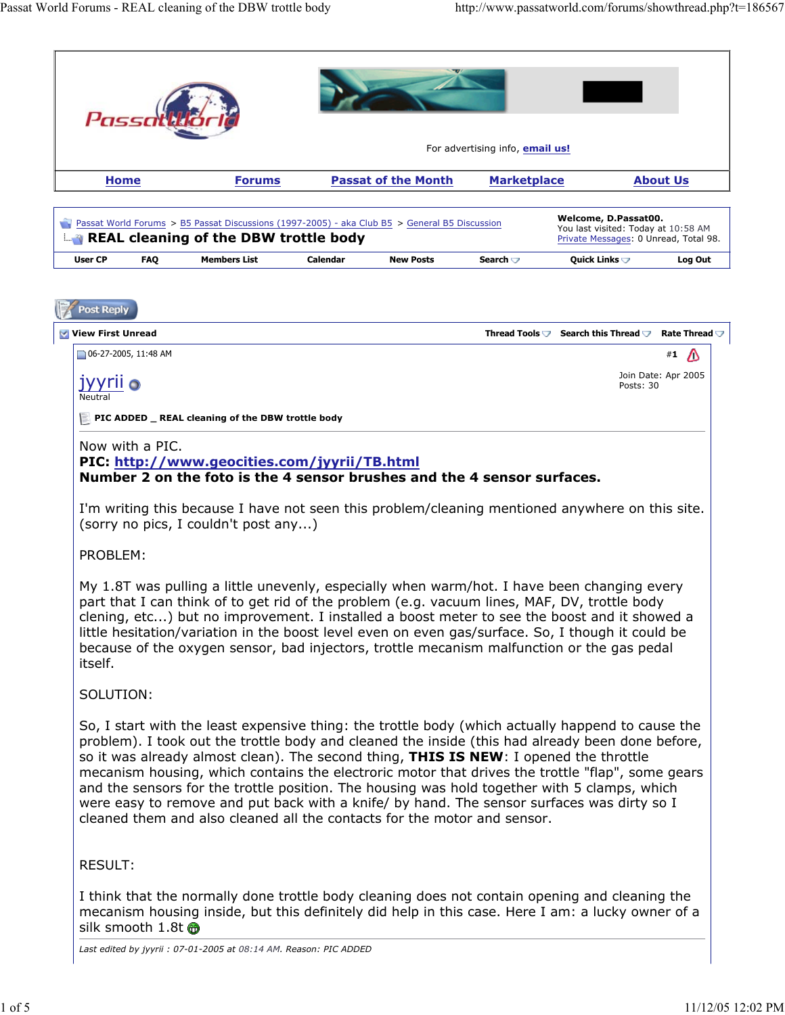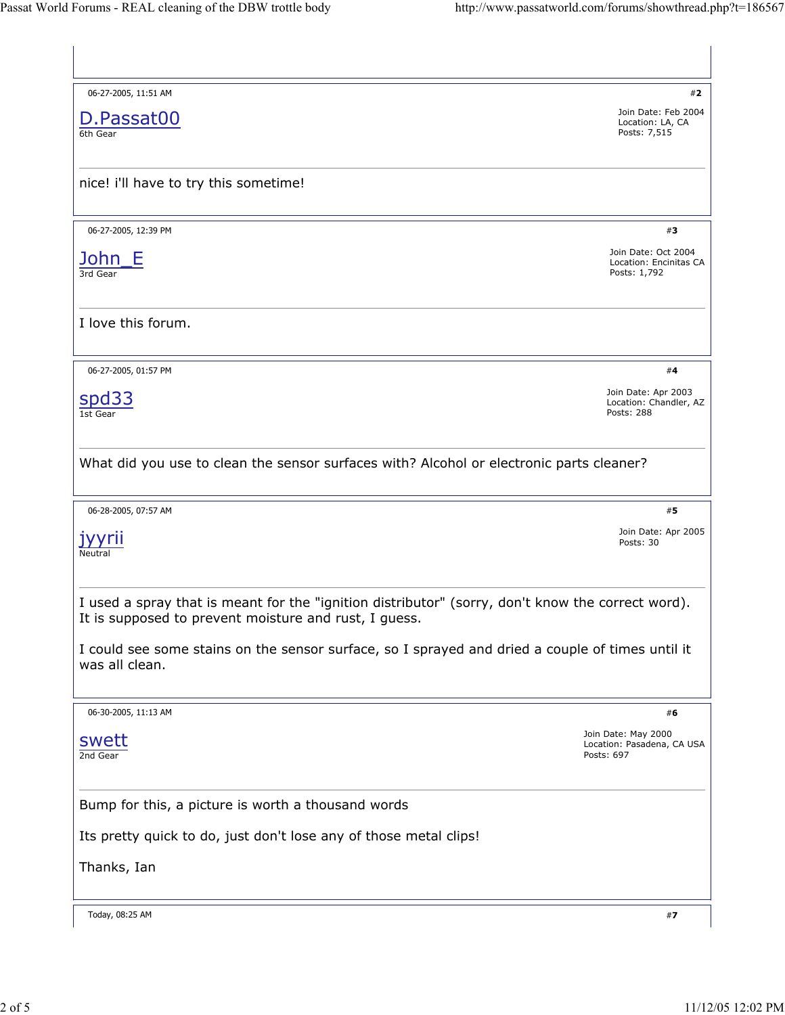| 06-27-2005, 11:51 AM                                                                                                                                                                                                                     | #2                                                              |  |  |
|------------------------------------------------------------------------------------------------------------------------------------------------------------------------------------------------------------------------------------------|-----------------------------------------------------------------|--|--|
| D.Passat00<br>6th Gear                                                                                                                                                                                                                   | Join Date: Feb 2004<br>Location: LA, CA<br>Posts: 7,515         |  |  |
| nice! i'll have to try this sometime!                                                                                                                                                                                                    |                                                                 |  |  |
| 06-27-2005, 12:39 PM<br>John E<br>3rd Gear<br>I love this forum.<br>06-27-2005, 01:57 PM<br><u>spd33</u><br>1st Gear<br>What did you use to clean the sensor surfaces with? Alcohol or electronic parts cleaner?<br>06-28-2005, 07:57 AM | #3                                                              |  |  |
|                                                                                                                                                                                                                                          | Join Date: Oct 2004<br>Location: Encinitas CA<br>Posts: 1,792   |  |  |
|                                                                                                                                                                                                                                          |                                                                 |  |  |
|                                                                                                                                                                                                                                          | #4                                                              |  |  |
|                                                                                                                                                                                                                                          | Join Date: Apr 2003<br>Location: Chandler, AZ<br>Posts: 288     |  |  |
|                                                                                                                                                                                                                                          |                                                                 |  |  |
|                                                                                                                                                                                                                                          |                                                                 |  |  |
|                                                                                                                                                                                                                                          | #5                                                              |  |  |
| Posts: 30<br>Neutral                                                                                                                                                                                                                     |                                                                 |  |  |
| I used a spray that is meant for the "ignition distributor" (sorry, don't know the correct word).<br>It is supposed to prevent moisture and rust, I guess.                                                                               | Join Date: Apr 2005                                             |  |  |
| I could see some stains on the sensor surface, so I sprayed and dried a couple of times until it<br>was all clean.                                                                                                                       |                                                                 |  |  |
| 06-30-2005, 11:13 AM                                                                                                                                                                                                                     | #6                                                              |  |  |
| swett<br>2nd Gear                                                                                                                                                                                                                        | Join Date: May 2000<br>Location: Pasadena, CA USA<br>Posts: 697 |  |  |
| Bump for this, a picture is worth a thousand words                                                                                                                                                                                       |                                                                 |  |  |
| Its pretty quick to do, just don't lose any of those metal clips!                                                                                                                                                                        |                                                                 |  |  |
| Thanks, Ian                                                                                                                                                                                                                              |                                                                 |  |  |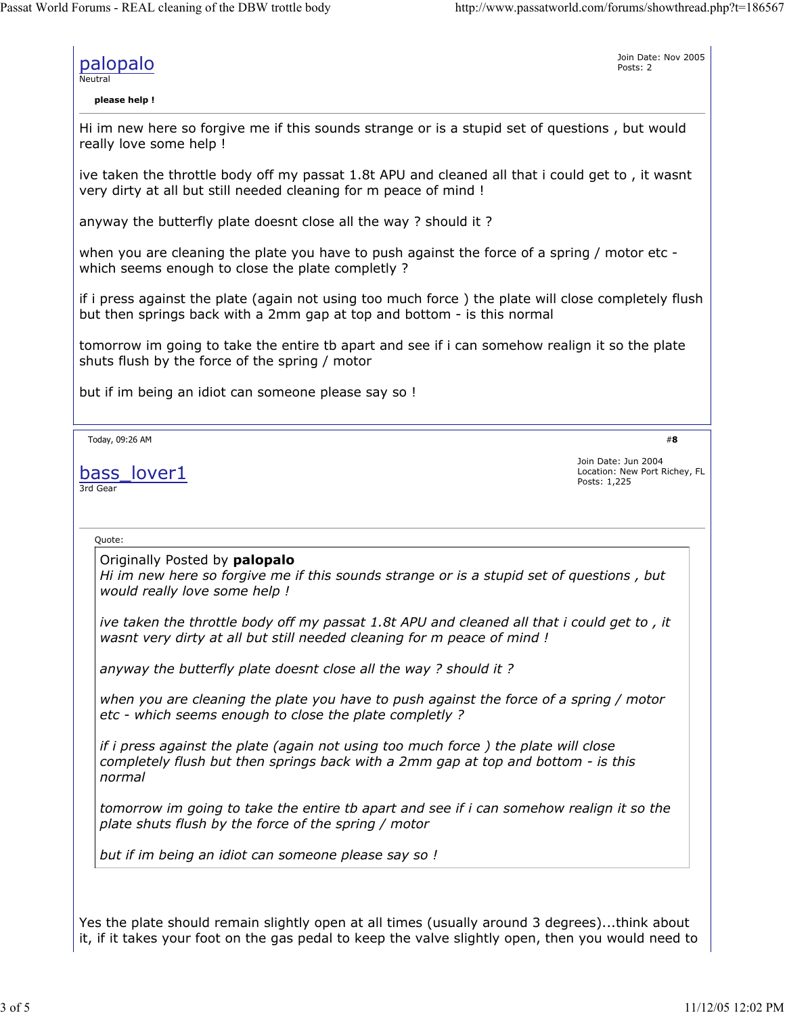Posts: 2

Join Date: Nov 2005

palopalo

Neutral

**please help !**

Hi im new here so forgive me if this sounds strange or is a stupid set of questions , but would really love some help !

ive taken the throttle body off my passat 1.8t APU and cleaned all that i could get to , it wasnt very dirty at all but still needed cleaning for m peace of mind !

anyway the butterfly plate doesnt close all the way ? should it ?

when you are cleaning the plate you have to push against the force of a spring / motor etc which seems enough to close the plate completly ?

if i press against the plate (again not using too much force ) the plate will close completely flush but then springs back with a 2mm gap at top and bottom - is this normal

tomorrow im going to take the entire tb apart and see if i can somehow realign it so the plate shuts flush by the force of the spring / motor

but if im being an idiot can someone please say so !

Today, 09:26 AM

bass lover1 3rd Gear

Join Date: Jun 2004 Location: New Port Richey, FL Posts: 1,225

#**8**

Quote:

Originally Posted by **palopalo**

*Hi im new here so forgive me if this sounds strange or is a stupid set of questions , but would really love some help !*

*ive taken the throttle body off my passat 1.8t APU and cleaned all that i could get to , it wasnt very dirty at all but still needed cleaning for m peace of mind !*

*anyway the butterfly plate doesnt close all the way ? should it ?*

*when you are cleaning the plate you have to push against the force of a spring / motor etc - which seems enough to close the plate completly ?*

*if i press against the plate (again not using too much force ) the plate will close completely flush but then springs back with a 2mm gap at top and bottom - is this normal*

*tomorrow im going to take the entire tb apart and see if i can somehow realign it so the plate shuts flush by the force of the spring / motor*

*but if im being an idiot can someone please say so !*

Yes the plate should remain slightly open at all times (usually around 3 degrees)...think about it, if it takes your foot on the gas pedal to keep the valve slightly open, then you would need to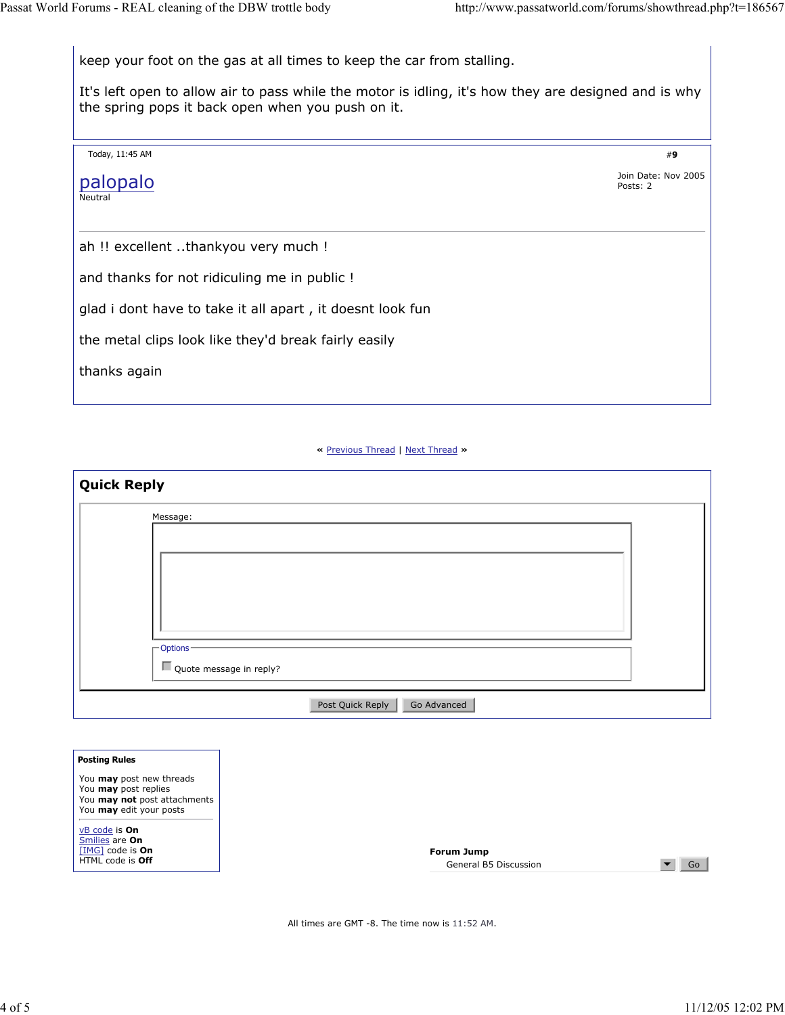#**9** keep your foot on the gas at all times to keep the car from stalling. It's left open to allow air to pass while the motor is idling, it's how they are designed and is why the spring pops it back open when you push on it. Today, 11:45 AM palopalo Neutral Join Date: Nov 2005 Posts: 2 ah !! excellent ..thankyou very much ! and thanks for not ridiculing me in public ! glad i dont have to take it all apart , it doesnt look fun the metal clips look like they'd break fairly easily thanks again

**«** Previous Thread | Next Thread **»**

| Message:                |  |  |  |
|-------------------------|--|--|--|
|                         |  |  |  |
|                         |  |  |  |
|                         |  |  |  |
|                         |  |  |  |
|                         |  |  |  |
| Options <sup>-</sup>    |  |  |  |
| Quote message in reply? |  |  |  |

| <b>Posting Rules</b>            |
|---------------------------------|
| You <b>may</b> post new threads |
| You may post replies            |
| You may not post attachments    |
| You may edit your posts         |
| vB code is <b>On</b>            |
| Smilies are On                  |
| $[IMG]$ code is On              |
| HTML code is Off                |
|                                 |

All times are GMT -8. The time now is 11:52 AM.

 $\bullet$  Go